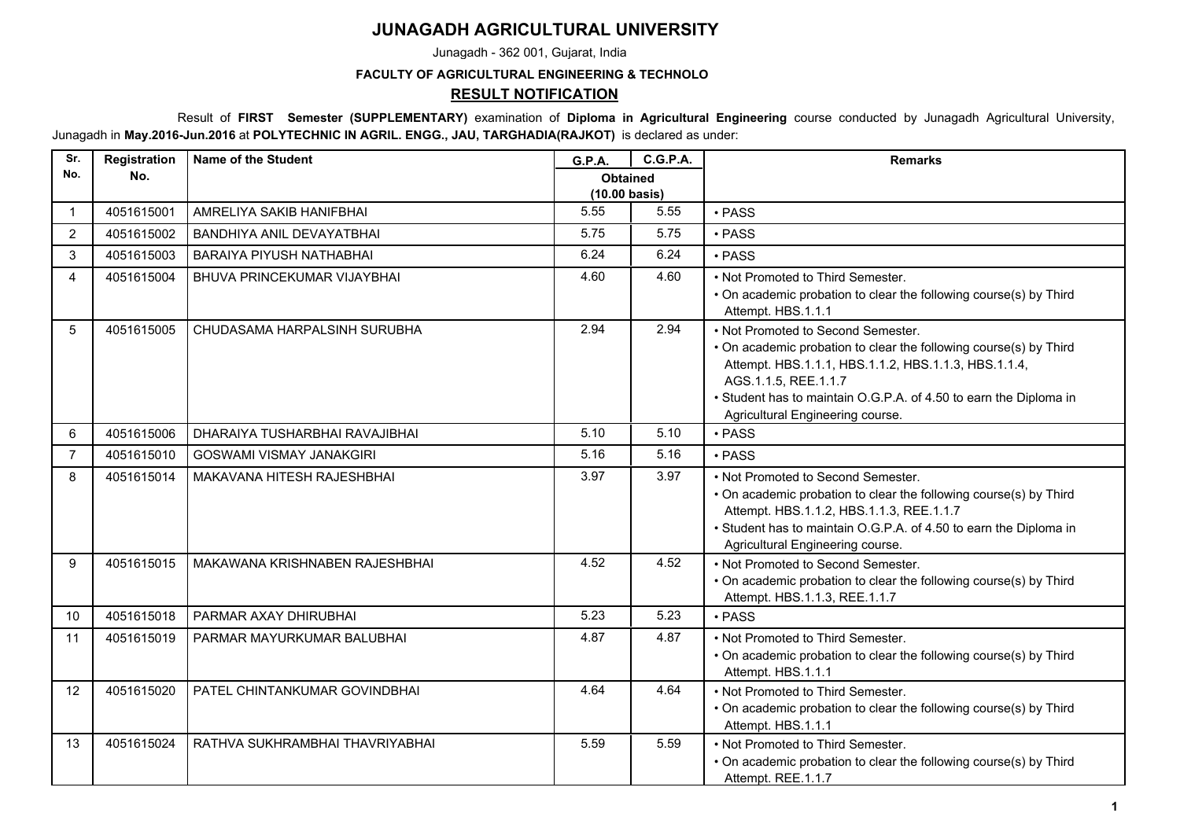## **JUNAGADH AGRICULTURAL UNIVERSITY**

Junagadh - 362 001, Gujarat, India

## **FACULTY OF AGRICULTURAL ENGINEERING & TECHNOLO**

## **RESULT NOTIFICATION**

 Result of **FIRST Semester (SUPPLEMENTARY)** examination of **Diploma in Agricultural Engineering** course conducted by Junagadh Agricultural University, Junagadh in **May.2016-Jun.2016** at **POLYTECHNIC IN AGRIL. ENGG., JAU, TARGHADIA(RAJKOT)** is declared as under:

| Sr.            | Registration | <b>Name of the Student</b>       | <b>G.P.A.</b>                              | <b>C.G.P.A.</b> | <b>Remarks</b>                                                                                                                                                                                                                                                                                   |
|----------------|--------------|----------------------------------|--------------------------------------------|-----------------|--------------------------------------------------------------------------------------------------------------------------------------------------------------------------------------------------------------------------------------------------------------------------------------------------|
| No.            | No.          |                                  | <b>Obtained</b><br>$(10.00 \text{ basis})$ |                 |                                                                                                                                                                                                                                                                                                  |
| $\mathbf{1}$   | 4051615001   | AMRELIYA SAKIB HANIFBHAI         | 5.55                                       | 5.55            | · PASS                                                                                                                                                                                                                                                                                           |
| 2              | 4051615002   | <b>BANDHIYA ANIL DEVAYATBHAI</b> | 5.75                                       | 5.75            | · PASS                                                                                                                                                                                                                                                                                           |
| 3              | 4051615003   | <b>BARAIYA PIYUSH NATHABHAI</b>  | 6.24                                       | 6.24            | · PASS                                                                                                                                                                                                                                                                                           |
| 4              | 4051615004   | BHUVA PRINCEKUMAR VIJAYBHAI      | 4.60                                       | 4.60            | • Not Promoted to Third Semester.<br>• On academic probation to clear the following course(s) by Third<br>Attempt. HBS.1.1.1                                                                                                                                                                     |
| 5              | 4051615005   | CHUDASAMA HARPALSINH SURUBHA     | 2.94                                       | 2.94            | • Not Promoted to Second Semester.<br>• On academic probation to clear the following course(s) by Third<br>Attempt. HBS.1.1.1, HBS.1.1.2, HBS.1.1.3, HBS.1.1.4,<br>AGS.1.1.5, REE.1.1.7<br>• Student has to maintain O.G.P.A. of 4.50 to earn the Diploma in<br>Agricultural Engineering course. |
| 6              | 4051615006   | DHARAIYA TUSHARBHAI RAVAJIBHAI   | 5.10                                       | 5.10            | • PASS                                                                                                                                                                                                                                                                                           |
| $\overline{7}$ | 4051615010   | <b>GOSWAMI VISMAY JANAKGIRI</b>  | 5.16                                       | 5.16            | • PASS                                                                                                                                                                                                                                                                                           |
| 8              | 4051615014   | MAKAVANA HITESH RAJESHBHAI       | 3.97                                       | 3.97            | • Not Promoted to Second Semester.<br>• On academic probation to clear the following course(s) by Third<br>Attempt. HBS.1.1.2, HBS.1.1.3, REE.1.1.7<br>• Student has to maintain O.G.P.A. of 4.50 to earn the Diploma in<br>Agricultural Engineering course.                                     |
| 9              | 4051615015   | MAKAWANA KRISHNABEN RAJESHBHAI   | 4.52                                       | 4.52            | • Not Promoted to Second Semester.<br>• On academic probation to clear the following course(s) by Third<br>Attempt. HBS.1.1.3, REE.1.1.7                                                                                                                                                         |
| 10             | 4051615018   | PARMAR AXAY DHIRUBHAI            | 5.23                                       | 5.23            | · PASS                                                                                                                                                                                                                                                                                           |
| 11             | 4051615019   | PARMAR MAYURKUMAR BALUBHAI       | 4.87                                       | 4.87            | . Not Promoted to Third Semester.<br>• On academic probation to clear the following course(s) by Third<br>Attempt. HBS.1.1.1                                                                                                                                                                     |
| 12             | 4051615020   | PATEL CHINTANKUMAR GOVINDBHAI    | 4.64                                       | 4.64            | • Not Promoted to Third Semester.<br>• On academic probation to clear the following course(s) by Third<br>Attempt. HBS.1.1.1                                                                                                                                                                     |
| 13             | 4051615024   | RATHVA SUKHRAMBHAI THAVRIYABHAI  | 5.59                                       | 5.59            | • Not Promoted to Third Semester.<br>• On academic probation to clear the following course(s) by Third<br>Attempt. REE.1.1.7                                                                                                                                                                     |